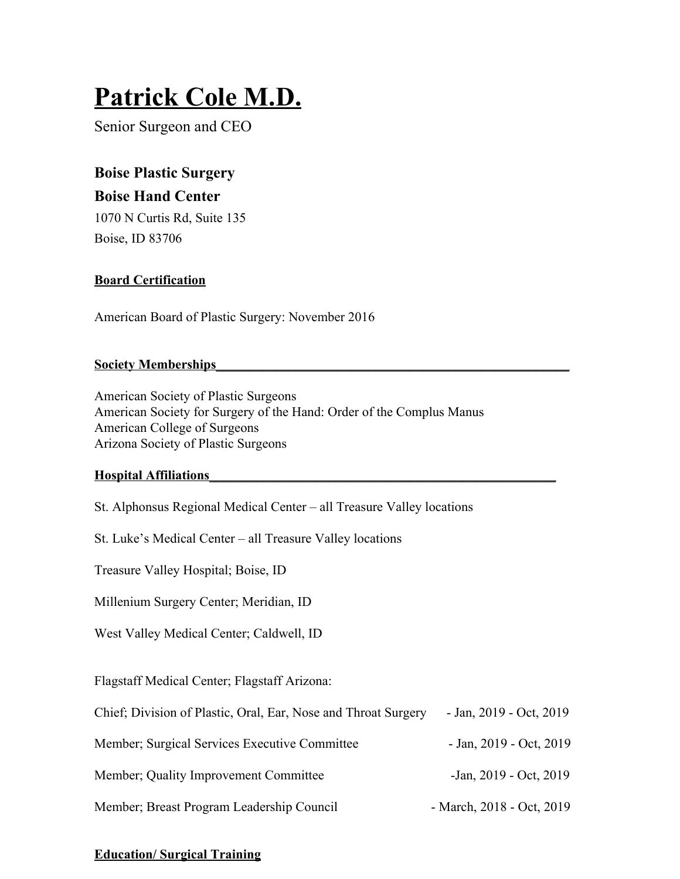# **Patrick Cole M.D.**

Senior Surgeon and CEO

**Boise Plastic Surgery Boise Hand Center** 1070 N Curtis Rd, Suite 135 Boise, ID 83706

# **Board Certification**

American Board of Plastic Surgery: November 2016

# **Society Memberships\_\_\_\_\_\_\_\_\_\_\_\_\_\_\_\_\_\_\_\_\_\_\_\_\_\_\_\_\_\_\_\_\_\_\_\_\_\_\_\_\_\_\_\_\_\_\_\_\_\_\_\_\_**

American Society of Plastic Surgeons American Society for Surgery of the Hand: Order of the Complus Manus American College of Surgeons Arizona Society of Plastic Surgeons

# **Hospital Affiliations\_\_\_\_\_\_\_\_\_\_\_\_\_\_\_\_\_\_\_\_\_\_\_\_\_\_\_\_\_\_\_\_\_\_\_\_\_\_\_\_\_\_\_\_\_\_\_\_\_\_\_\_**

St. Alphonsus Regional Medical Center – all Treasure Valley locations

St. Luke's Medical Center – all Treasure Valley locations

Treasure Valley Hospital; Boise, ID

Millenium Surgery Center; Meridian, ID

West Valley Medical Center; Caldwell, ID

Flagstaff Medical Center; Flagstaff Arizona:

| Chief; Division of Plastic, Oral, Ear, Nose and Throat Surgery | - Jan, $2019$ - Oct, $2019$ |
|----------------------------------------------------------------|-----------------------------|
| Member; Surgical Services Executive Committee                  | - Jan, $2019$ - Oct, $2019$ |
| Member; Quality Improvement Committee                          | $-$ Jan, 2019 - Oct, 2019   |
| Member; Breast Program Leadership Council                      | - March, 2018 - Oct, 2019   |

# **Education/ Surgical Training**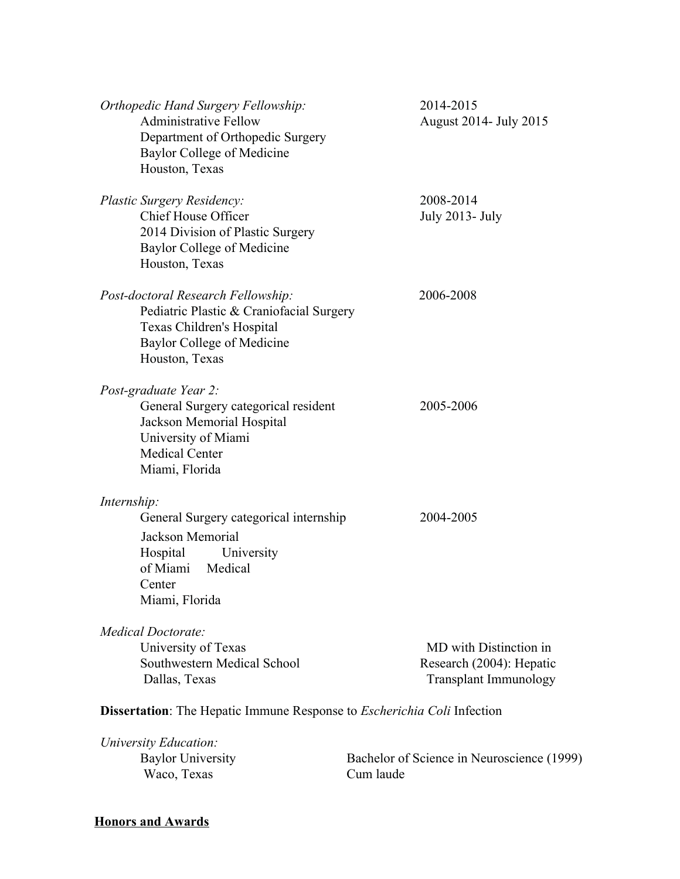| Orthopedic Hand Surgery Fellowship:<br><b>Administrative Fellow</b><br>Department of Orthopedic Surgery<br>Baylor College of Medicine<br>Houston, Texas                             | 2014-2015<br>August 2014- July 2015                                                |
|-------------------------------------------------------------------------------------------------------------------------------------------------------------------------------------|------------------------------------------------------------------------------------|
| <b>Plastic Surgery Residency:</b><br><b>Chief House Officer</b><br>2014 Division of Plastic Surgery<br><b>Baylor College of Medicine</b><br>Houston, Texas                          | 2008-2014<br><b>July 2013- July</b>                                                |
| Post-doctoral Research Fellowship:<br>Pediatric Plastic & Craniofacial Surgery<br>Texas Children's Hospital<br><b>Baylor College of Medicine</b><br>Houston, Texas                  | 2006-2008                                                                          |
| Post-graduate Year 2:<br>General Surgery categorical resident<br>Jackson Memorial Hospital<br>University of Miami<br><b>Medical Center</b><br>Miami, Florida                        | 2005-2006                                                                          |
| Internship:<br>General Surgery categorical internship<br>Jackson Memorial<br>Hospital<br>University<br>of Miami<br>Medical<br>Center<br>Miami, Florida                              | 2004-2005                                                                          |
| Medical Doctorate:<br>University of Texas<br>Southwestern Medical School<br>Dallas, Texas<br><b>Dissertation</b> : The Hepatic Immune Response to <i>Escherichia Coli</i> Infection | MD with Distinction in<br>Research (2004): Hepatic<br><b>Transplant Immunology</b> |
| University Education:<br><b>Baylor University</b><br>Waco, Texas                                                                                                                    | Bachelor of Science in Neuroscience (1999)<br>Cum laude                            |

# **Honors and Awards**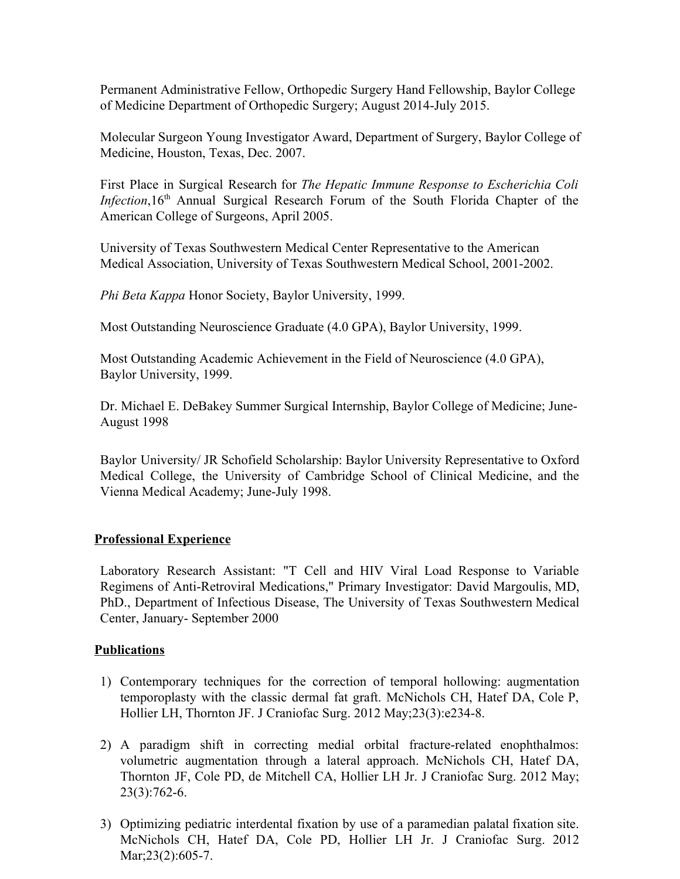Permanent Administrative Fellow, Orthopedic Surgery Hand Fellowship, Baylor College of Medicine Department of Orthopedic Surgery; August 2014-July 2015.

Molecular Surgeon Young Investigator Award, Department of Surgery, Baylor College of Medicine, Houston, Texas, Dec. 2007.

First Place in Surgical Research for *The Hepatic Immune Response to Escherichia Coli Infection*,16<sup>th</sup> Annual Surgical Research Forum of the South Florida Chapter of the American College of Surgeons, April 2005.

University of Texas Southwestern Medical Center Representative to the American Medical Association, University of Texas Southwestern Medical School, 2001-2002.

*Phi Beta Kappa* Honor Society, Baylor University, 1999.

Most Outstanding Neuroscience Graduate (4.0 GPA), Baylor University, 1999.

Most Outstanding Academic Achievement in the Field of Neuroscience (4.0 GPA), Baylor University, 1999.

Dr. Michael E. DeBakey Summer Surgical Internship, Baylor College of Medicine; June-August 1998

Baylor University/ JR Schofield Scholarship: Baylor University Representative to Oxford Medical College, the University of Cambridge School of Clinical Medicine, and the Vienna Medical Academy; June-July 1998.

#### **Professional Experience**

Laboratory Research Assistant: "T Cell and HIV Viral Load Response to Variable Regimens of Anti-Retroviral Medications," Primary Investigator: David Margoulis, MD, PhD., Department of Infectious Disease, The University of Texas Southwestern Medical Center, January- September 2000

#### **Publications**

- 1) Contemporary techniques for the correction of temporal hollowing: augmentation temporoplasty with the classic dermal fat graft. McNichols CH, Hatef DA, Cole P, Hollier LH, Thornton JF. J Craniofac Surg. 2012 May;23(3):e234-8.
- 2) A paradigm shift in correcting medial orbital fracture-related enophthalmos: volumetric augmentation through a lateral approach. McNichols CH, Hatef DA, Thornton JF, Cole PD, de Mitchell CA, Hollier LH Jr. J Craniofac Surg. 2012 May; 23(3):762-6.
- 3) Optimizing pediatric interdental fixation by use of a paramedian palatal fixation site. McNichols CH, Hatef DA, Cole PD, Hollier LH Jr. J Craniofac Surg. 2012 Mar; 23(2): 605-7.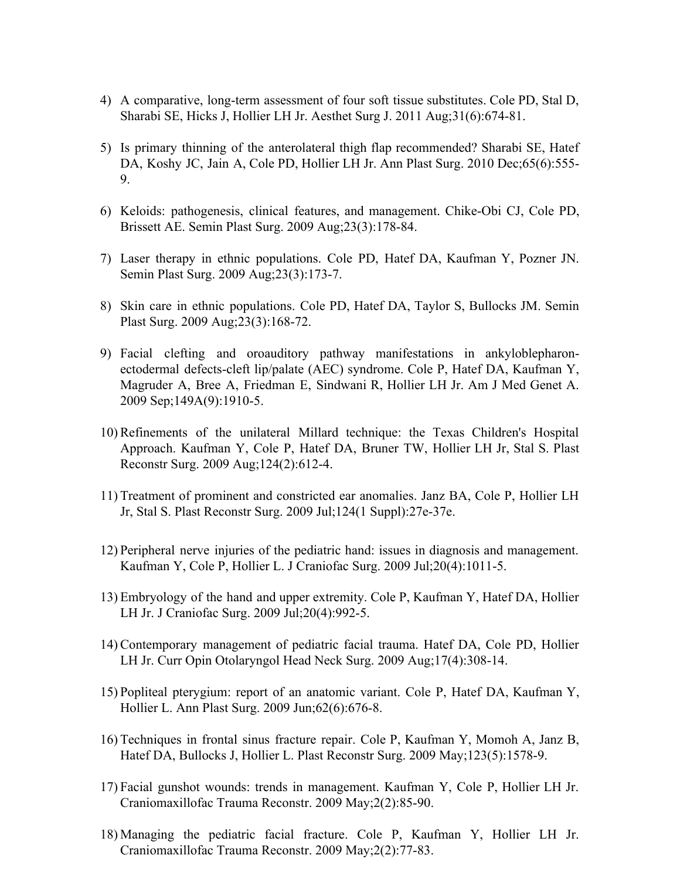- 4) A comparative, long-term assessment of four soft tissue substitutes. Cole PD, Stal D, Sharabi SE, Hicks J, Hollier LH Jr. Aesthet Surg J. 2011 Aug;31(6):674-81.
- 5) Is primary thinning of the anterolateral thigh flap recommended? Sharabi SE, Hatef DA, Koshy JC, Jain A, Cole PD, Hollier LH Jr. Ann Plast Surg. 2010 Dec;65(6):555- 9.
- 6) Keloids: pathogenesis, clinical features, and management. Chike-Obi CJ, Cole PD, Brissett AE. Semin Plast Surg. 2009 Aug;23(3):178-84.
- 7) Laser therapy in ethnic populations. Cole PD, Hatef DA, Kaufman Y, Pozner JN. Semin Plast Surg. 2009 Aug;23(3):173-7.
- 8) Skin care in ethnic populations. Cole PD, Hatef DA, Taylor S, Bullocks JM. Semin Plast Surg. 2009 Aug;23(3):168-72.
- 9) Facial clefting and oroauditory pathway manifestations in ankyloblepharonectodermal defects-cleft lip/palate (AEC) syndrome. Cole P, Hatef DA, Kaufman Y, Magruder A, Bree A, Friedman E, Sindwani R, Hollier LH Jr. Am J Med Genet A. 2009 Sep;149A(9):1910-5.
- 10) Refinements of the unilateral Millard technique: the Texas Children's Hospital Approach. Kaufman Y, Cole P, Hatef DA, Bruner TW, Hollier LH Jr, Stal S. Plast Reconstr Surg. 2009 Aug;124(2):612-4.
- 11) Treatment of prominent and constricted ear anomalies. Janz BA, Cole P, Hollier LH Jr, Stal S. Plast Reconstr Surg. 2009 Jul;124(1 Suppl):27e-37e.
- 12) Peripheral nerve injuries of the pediatric hand: issues in diagnosis and management. Kaufman Y, Cole P, Hollier L. J Craniofac Surg. 2009 Jul;20(4):1011-5.
- 13) Embryology of the hand and upper extremity. Cole P, Kaufman Y, Hatef DA, Hollier LH Jr. J Craniofac Surg. 2009 Jul;20(4):992-5.
- 14) Contemporary management of pediatric facial trauma. Hatef DA, Cole PD, Hollier LH Jr. Curr Opin Otolaryngol Head Neck Surg. 2009 Aug;17(4):308-14.
- 15) Popliteal pterygium: report of an anatomic variant. Cole P, Hatef DA, Kaufman Y, Hollier L. Ann Plast Surg. 2009 Jun;62(6):676-8.
- 16) Techniques in frontal sinus fracture repair. Cole P, Kaufman Y, Momoh A, Janz B, Hatef DA, Bullocks J, Hollier L. Plast Reconstr Surg. 2009 May;123(5):1578-9.
- 17) Facial gunshot wounds: trends in management. Kaufman Y, Cole P, Hollier LH Jr. Craniomaxillofac Trauma Reconstr. 2009 May;2(2):85-90.
- 18) Managing the pediatric facial fracture. Cole P, Kaufman Y, Hollier LH Jr. Craniomaxillofac Trauma Reconstr. 2009 May;2(2):77-83.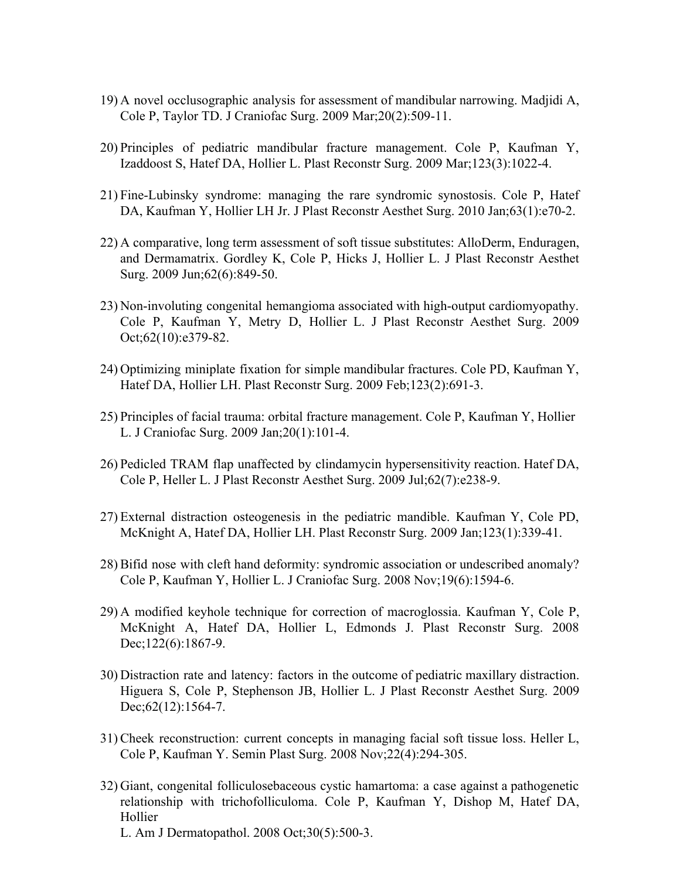- 19) A novel occlusographic analysis for assessment of mandibular narrowing. Madjidi A, Cole P, Taylor TD. J Craniofac Surg. 2009 Mar;20(2):509-11.
- 20) Principles of pediatric mandibular fracture management. Cole P, Kaufman Y, Izaddoost S, Hatef DA, Hollier L. Plast Reconstr Surg. 2009 Mar;123(3):1022-4.
- 21) Fine-Lubinsky syndrome: managing the rare syndromic synostosis. Cole P, Hatef DA, Kaufman Y, Hollier LH Jr. J Plast Reconstr Aesthet Surg. 2010 Jan;63(1):e70-2.
- 22) A comparative, long term assessment of soft tissue substitutes: AlloDerm, Enduragen, and Dermamatrix. Gordley K, Cole P, Hicks J, Hollier L. J Plast Reconstr Aesthet Surg. 2009 Jun;62(6):849-50.
- 23) Non-involuting congenital hemangioma associated with high-output cardiomyopathy. Cole P, Kaufman Y, Metry D, Hollier L. J Plast Reconstr Aesthet Surg. 2009 Oct;62(10):e379-82.
- 24) Optimizing miniplate fixation for simple mandibular fractures. Cole PD, Kaufman Y, Hatef DA, Hollier LH. Plast Reconstr Surg. 2009 Feb;123(2):691-3.
- 25) Principles of facial trauma: orbital fracture management. Cole P, Kaufman Y, Hollier L. J Craniofac Surg. 2009 Jan;20(1):101-4.
- 26) Pedicled TRAM flap unaffected by clindamycin hypersensitivity reaction. Hatef DA, Cole P, Heller L. J Plast Reconstr Aesthet Surg. 2009 Jul;62(7):e238-9.
- 27) External distraction osteogenesis in the pediatric mandible. Kaufman Y, Cole PD, McKnight A, Hatef DA, Hollier LH. Plast Reconstr Surg. 2009 Jan;123(1):339-41.
- 28) Bifid nose with cleft hand deformity: syndromic association or undescribed anomaly? Cole P, Kaufman Y, Hollier L. J Craniofac Surg. 2008 Nov;19(6):1594-6.
- 29) A modified keyhole technique for correction of macroglossia. Kaufman Y, Cole P, McKnight A, Hatef DA, Hollier L, Edmonds J. Plast Reconstr Surg. 2008 Dec;122(6):1867-9.
- 30) Distraction rate and latency: factors in the outcome of pediatric maxillary distraction. Higuera S, Cole P, Stephenson JB, Hollier L. J Plast Reconstr Aesthet Surg. 2009 Dec; 62(12): 1564-7.
- 31) Cheek reconstruction: current concepts in managing facial soft tissue loss. Heller L, Cole P, Kaufman Y. Semin Plast Surg. 2008 Nov;22(4):294-305.
- 32) Giant, congenital folliculosebaceous cystic hamartoma: a case against a pathogenetic relationship with trichofolliculoma. Cole P, Kaufman Y, Dishop M, Hatef DA, Hollier
	- L. Am J Dermatopathol. 2008 Oct;30(5):500-3.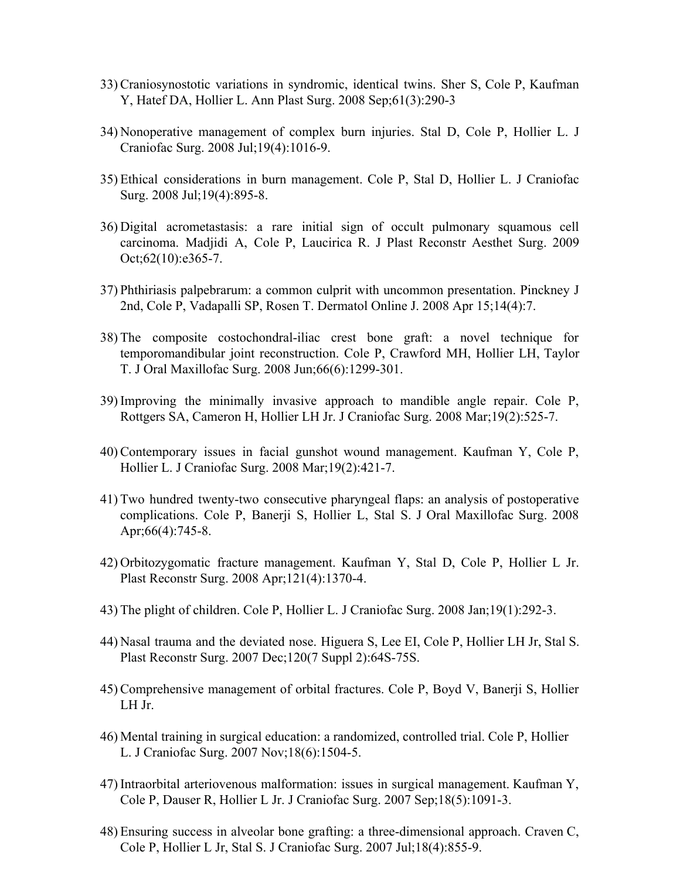- 33) Craniosynostotic variations in syndromic, identical twins. Sher S, Cole P, Kaufman Y, Hatef DA, Hollier L. Ann Plast Surg. 2008 Sep;61(3):290-3
- 34) Nonoperative management of complex burn injuries. Stal D, Cole P, Hollier L. J Craniofac Surg. 2008 Jul;19(4):1016-9.
- 35) Ethical considerations in burn management. Cole P, Stal D, Hollier L. J Craniofac Surg. 2008 Jul;19(4):895-8.
- 36) Digital acrometastasis: a rare initial sign of occult pulmonary squamous cell carcinoma. Madjidi A, Cole P, Laucirica R. J Plast Reconstr Aesthet Surg. 2009 Oct;62(10):e365-7.
- 37) Phthiriasis palpebrarum: a common culprit with uncommon presentation. Pinckney J 2nd, Cole P, Vadapalli SP, Rosen T. Dermatol Online J. 2008 Apr 15;14(4):7.
- 38) The composite costochondral-iliac crest bone graft: a novel technique for temporomandibular joint reconstruction. Cole P, Crawford MH, Hollier LH, Taylor T. J Oral Maxillofac Surg. 2008 Jun;66(6):1299-301.
- 39) Improving the minimally invasive approach to mandible angle repair. Cole P, Rottgers SA, Cameron H, Hollier LH Jr. J Craniofac Surg. 2008 Mar;19(2):525-7.
- 40) Contemporary issues in facial gunshot wound management. Kaufman Y, Cole P, Hollier L. J Craniofac Surg. 2008 Mar;19(2):421-7.
- 41) Two hundred twenty-two consecutive pharyngeal flaps: an analysis of postoperative complications. Cole P, Banerji S, Hollier L, Stal S. J Oral Maxillofac Surg. 2008 Apr;66(4):745-8.
- 42) Orbitozygomatic fracture management. Kaufman Y, Stal D, Cole P, Hollier L Jr. Plast Reconstr Surg. 2008 Apr;121(4):1370-4.
- 43) The plight of children. Cole P, Hollier L. J Craniofac Surg. 2008 Jan;19(1):292-3.
- 44) Nasal trauma and the deviated nose. Higuera S, Lee EI, Cole P, Hollier LH Jr, Stal S. Plast Reconstr Surg. 2007 Dec;120(7 Suppl 2):64S-75S.
- 45) Comprehensive management of orbital fractures. Cole P, Boyd V, Banerji S, Hollier LH Jr.
- 46) Mental training in surgical education: a randomized, controlled trial. Cole P, Hollier L. J Craniofac Surg. 2007 Nov;18(6):1504-5.
- 47) Intraorbital arteriovenous malformation: issues in surgical management. Kaufman Y, Cole P, Dauser R, Hollier L Jr. J Craniofac Surg. 2007 Sep;18(5):1091-3.
- 48) Ensuring success in alveolar bone grafting: a three-dimensional approach. Craven C, Cole P, Hollier L Jr, Stal S. J Craniofac Surg. 2007 Jul;18(4):855-9.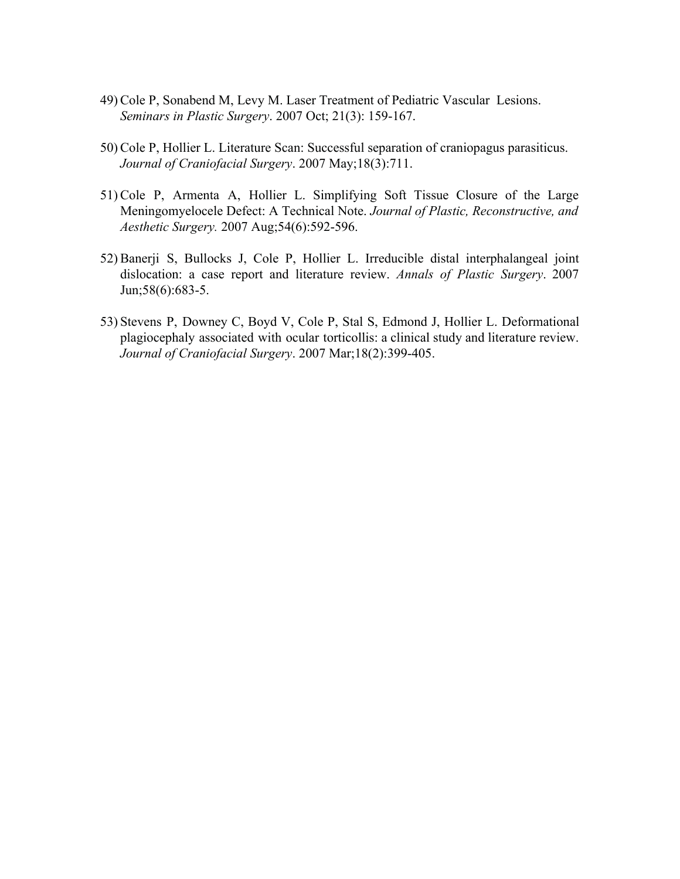- 49) Cole P, Sonabend M, Levy M. Laser Treatment of Pediatric Vascular Lesions. *Seminars in Plastic Surgery*. 2007 Oct; 21(3): 159-167.
- 50) Cole P, Hollier L. Literature Scan: Successful separation of craniopagus parasiticus. *Journal of Craniofacial Surgery*. 2007 May;18(3):711.
- 51) Cole P, Armenta A, Hollier L. Simplifying Soft Tissue Closure of the Large Meningomyelocele Defect: A Technical Note. *Journal of Plastic, Reconstructive, and Aesthetic Surgery.* 2007 Aug;54(6):592-596.
- 52) Banerji S, Bullocks J, Cole P, Hollier L. Irreducible distal interphalangeal joint dislocation: a case report and literature review. *Annals of Plastic Surgery*. 2007 Jun;58(6):683-5.
- 53) Stevens P, Downey C, Boyd V, Cole P, Stal S, Edmond J, Hollier L. Deformational plagiocephaly associated with ocular torticollis: a clinical study and literature review. *Journal of Craniofacial Surgery*. 2007 Mar;18(2):399-405.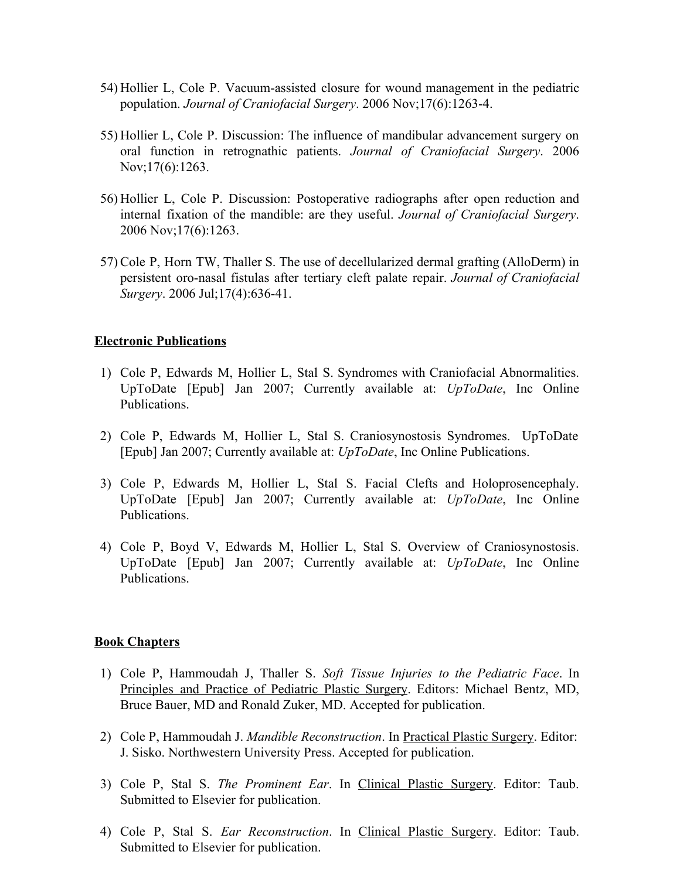- 54) Hollier L, Cole P. Vacuum-assisted closure for wound management in the pediatric population. *Journal of Craniofacial Surgery*. 2006 Nov;17(6):1263-4.
- 55) Hollier L, Cole P. Discussion: The influence of mandibular advancement surgery on oral function in retrognathic patients. *Journal of Craniofacial Surgery*. 2006 Nov;17(6):1263.
- 56) Hollier L, Cole P. Discussion: Postoperative radiographs after open reduction and internal fixation of the mandible: are they useful. *Journal of Craniofacial Surgery*. 2006 Nov;17(6):1263.
- 57) Cole P, Horn TW, Thaller S. The use of decellularized dermal grafting (AlloDerm) in persistent oro-nasal fistulas after tertiary cleft palate repair. *Journal of Craniofacial Surgery*. 2006 Jul;17(4):636-41.

#### **Electronic Publications**

- 1) Cole P, Edwards M, Hollier L, Stal S. Syndromes with Craniofacial Abnormalities. UpToDate [Epub] Jan 2007; Currently available at: *UpToDate*, Inc Online Publications.
- 2) Cole P, Edwards M, Hollier L, Stal S. Craniosynostosis Syndromes. UpToDate [Epub] Jan 2007; Currently available at: *UpToDate*, Inc Online Publications.
- 3) Cole P, Edwards M, Hollier L, Stal S. Facial Clefts and Holoprosencephaly. UpToDate [Epub] Jan 2007; Currently available at: *UpToDate*, Inc Online Publications.
- 4) Cole P, Boyd V, Edwards M, Hollier L, Stal S. Overview of Craniosynostosis. UpToDate [Epub] Jan 2007; Currently available at: *UpToDate*, Inc Online Publications.

#### **Book Chapters**

- 1) Cole P, Hammoudah J, Thaller S. *Soft Tissue Injuries to the Pediatric Face*. In Principles and Practice of Pediatric Plastic Surgery. Editors: Michael Bentz, MD, Bruce Bauer, MD and Ronald Zuker, MD. Accepted for publication.
- 2) Cole P, Hammoudah J. *Mandible Reconstruction*. In Practical Plastic Surgery. Editor: J. Sisko. Northwestern University Press. Accepted for publication.
- 3) Cole P, Stal S. *The Prominent Ear*. In Clinical Plastic Surgery. Editor: Taub. Submitted to Elsevier for publication.
- 4) Cole P, Stal S. *Ear Reconstruction*. In Clinical Plastic Surgery. Editor: Taub. Submitted to Elsevier for publication.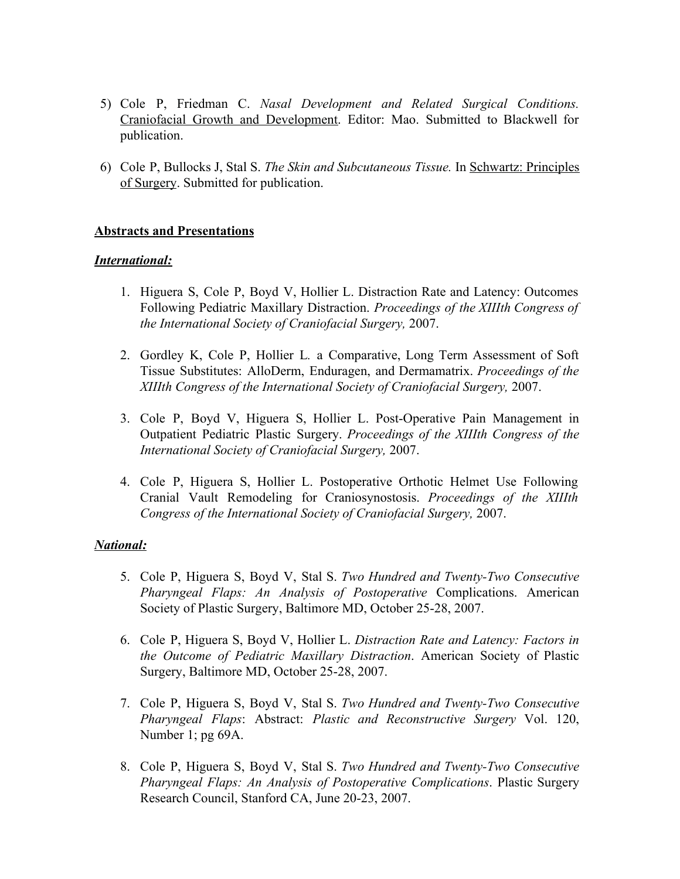- 5) Cole P, Friedman C. *Nasal Development and Related Surgical Conditions.* Craniofacial Growth and Development. Editor: Mao. Submitted to Blackwell for publication.
- 6) Cole P, Bullocks J, Stal S. *The Skin and Subcutaneous Tissue.* In Schwartz: Principles of Surgery. Submitted for publication.

### **Abstracts and Presentations**

#### *International:*

- 1. Higuera S, Cole P, Boyd V, Hollier L. Distraction Rate and Latency: Outcomes Following Pediatric Maxillary Distraction. *Proceedings of the XIIIth Congress of the International Society of Craniofacial Surgery,* 2007.
- 2. Gordley K, Cole P, Hollier L*.* a Comparative, Long Term Assessment of Soft Tissue Substitutes: AlloDerm, Enduragen, and Dermamatrix. *Proceedings of the XIIIth Congress of the International Society of Craniofacial Surgery,* 2007.
- 3. Cole P, Boyd V, Higuera S, Hollier L. Post-Operative Pain Management in Outpatient Pediatric Plastic Surgery. *Proceedings of the XIIIth Congress of the International Society of Craniofacial Surgery,* 2007.
- 4. Cole P, Higuera S, Hollier L. Postoperative Orthotic Helmet Use Following Cranial Vault Remodeling for Craniosynostosis. *Proceedings of the XIIIth Congress of the International Society of Craniofacial Surgery,* 2007.

#### *National:*

- 5. Cole P, Higuera S, Boyd V, Stal S. *Two Hundred and Twenty-Two Consecutive Pharyngeal Flaps: An Analysis of Postoperative* Complications. American Society of Plastic Surgery, Baltimore MD, October 25-28, 2007.
- 6. Cole P, Higuera S, Boyd V, Hollier L. *Distraction Rate and Latency: Factors in the Outcome of Pediatric Maxillary Distraction*. American Society of Plastic Surgery, Baltimore MD, October 25-28, 2007.
- 7. Cole P, Higuera S, Boyd V, Stal S. *Two Hundred and Twenty-Two Consecutive Pharyngeal Flaps*: Abstract: *Plastic and Reconstructive Surgery* Vol. 120, Number 1; pg 69A.
- 8. Cole P, Higuera S, Boyd V, Stal S. *Two Hundred and Twenty-Two Consecutive Pharyngeal Flaps: An Analysis of Postoperative Complications*. Plastic Surgery Research Council, Stanford CA, June 20-23, 2007.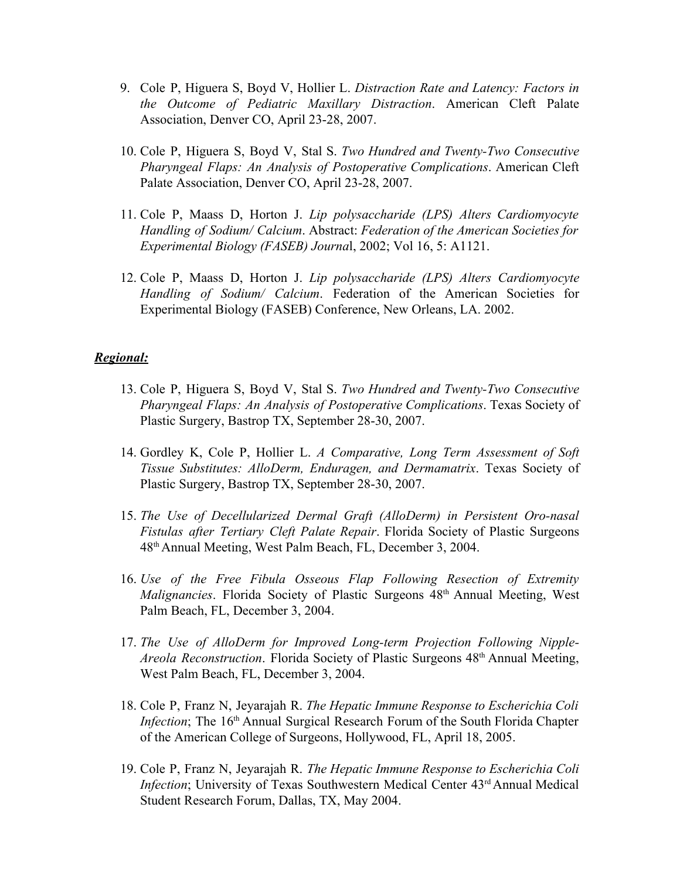- 9. Cole P, Higuera S, Boyd V, Hollier L. *Distraction Rate and Latency: Factors in the Outcome of Pediatric Maxillary Distraction*. American Cleft Palate Association, Denver CO, April 23-28, 2007.
- 10. Cole P, Higuera S, Boyd V, Stal S. *Two Hundred and Twenty-Two Consecutive Pharyngeal Flaps: An Analysis of Postoperative Complications*. American Cleft Palate Association, Denver CO, April 23-28, 2007.
- 11. Cole P, Maass D, Horton J. *Lip polysaccharide (LPS) Alters Cardiomyocyte Handling of Sodium/ Calcium*. Abstract: *Federation of the American Societies for Experimental Biology (FASEB) Journa*l, 2002; Vol 16, 5: A1121.
- 12. Cole P, Maass D, Horton J. *Lip polysaccharide (LPS) Alters Cardiomyocyte Handling of Sodium/ Calcium*. Federation of the American Societies for Experimental Biology (FASEB) Conference, New Orleans, LA. 2002.

## *Regional:*

- 13. Cole P, Higuera S, Boyd V, Stal S. *Two Hundred and Twenty-Two Consecutive Pharyngeal Flaps: An Analysis of Postoperative Complications*. Texas Society of Plastic Surgery, Bastrop TX, September 28-30, 2007.
- 14. Gordley K, Cole P, Hollier L. *A Comparative, Long Term Assessment of Soft Tissue Substitutes: AlloDerm, Enduragen, and Dermamatrix*. Texas Society of Plastic Surgery, Bastrop TX, September 28-30, 2007.
- 15. *The Use of Decellularized Dermal Graft (AlloDerm) in Persistent Oro-nasal Fistulas after Tertiary Cleft Palate Repair*. Florida Society of Plastic Surgeons 48thAnnual Meeting, West Palm Beach, FL, December 3, 2004.
- 16. *Use of the Free Fibula Osseous Flap Following Resection of Extremity Malignancies*. Florida Society of Plastic Surgeons 48<sup>th</sup> Annual Meeting, West Palm Beach, FL, December 3, 2004.
- 17. *The Use of AlloDerm for Improved Long-term Projection Following Nipple-Areola Reconstruction.* Florida Society of Plastic Surgeons 48<sup>th</sup> Annual Meeting, West Palm Beach, FL, December 3, 2004.
- 18. Cole P, Franz N, Jeyarajah R. *The Hepatic Immune Response to Escherichia Coli Infection*; The 16<sup>th</sup> Annual Surgical Research Forum of the South Florida Chapter of the American College of Surgeons, Hollywood, FL, April 18, 2005.
- 19. Cole P, Franz N, Jeyarajah R. *The Hepatic Immune Response to Escherichia Coli Infection*; University of Texas Southwestern Medical Center 43<sup>rd</sup> Annual Medical Student Research Forum, Dallas, TX, May 2004.